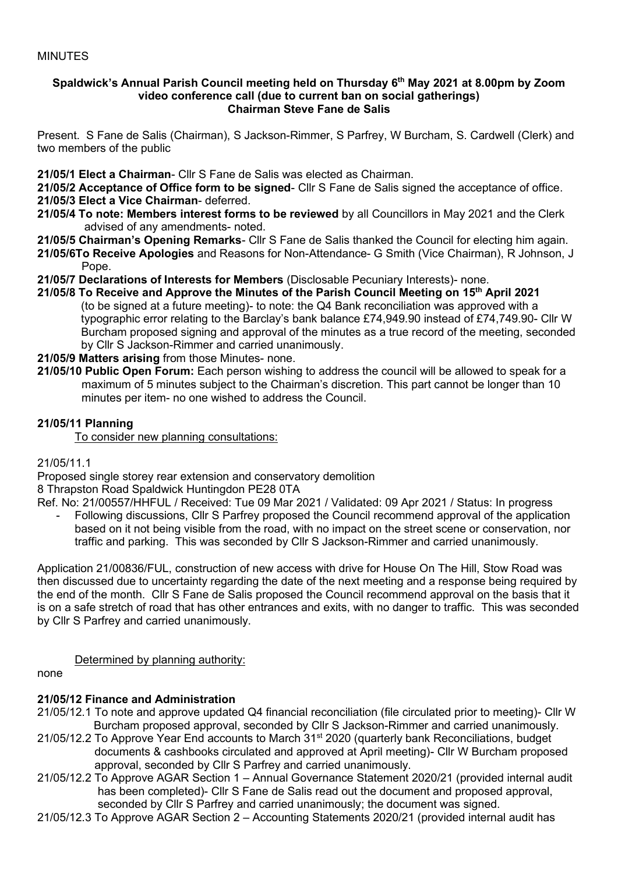#### **Spaldwick's Annual Parish Council meeting held on Thursday 6 th May 2021 at 8.00pm by Zoom video conference call (due to current ban on social gatherings) Chairman Steve Fane de Salis**

Present. S Fane de Salis (Chairman), S Jackson-Rimmer, S Parfrey, W Burcham, S. Cardwell (Clerk) and two members of the public

**21/05/1 Elect a Chairman**- Cllr S Fane de Salis was elected as Chairman.

**21/05/2 Acceptance of Office form to be signed**- Cllr S Fane de Salis signed the acceptance of office. **21/05/3 Elect a Vice Chairman**- deferred.

- **21/05/4 To note: Members interest forms to be reviewed** by all Councillors in May 2021 and the Clerk advised of any amendments- noted.
- **21/05/5 Chairman's Opening Remarks** Cllr S Fane de Salis thanked the Council for electing him again.
- **21/05/6To Receive Apologies** and Reasons for Non-Attendance- G Smith (Vice Chairman), R Johnson, J Pope.
- **21/05/7 Declarations of Interests for Members** (Disclosable Pecuniary Interests)- none.
- **21/05/8 To Receive and Approve the Minutes of the Parish Council Meeting on 15 th April 2021** (to be signed at a future meeting)- to note: the Q4 Bank reconciliation was approved with a typographic error relating to the Barclay's bank balance £74,949.90 instead of £74,749.90- Cllr W Burcham proposed signing and approval of the minutes as a true record of the meeting, seconded by Cllr S Jackson-Rimmer and carried unanimously.

## **21/05/9 Matters arising** from those Minutes- none.

**21/05/10 Public Open Forum:** Each person wishing to address the council will be allowed to speak for a maximum of 5 minutes subject to the Chairman's discretion. This part cannot be longer than 10 minutes per item- no one wished to address the Council.

## **21/05/11 Planning**

To consider new planning consultations:

#### 21/05/11.1

Proposed single storey rear extension and conservatory demolition

8 Thrapston Road Spaldwick Huntingdon PE28 0TA

- Ref. No: 21/00557/HHFUL / Received: Tue 09 Mar 2021 / Validated: 09 Apr 2021 / Status: In progress
	- Following discussions, Cllr S Parfrey proposed the Council recommend approval of the application based on it not being visible from the road, with no impact on the street scene or conservation, nor traffic and parking. This was seconded by Cllr S Jackson-Rimmer and carried unanimously.

Application 21/00836/FUL, construction of new access with drive for House On The Hill, Stow Road was then discussed due to uncertainty regarding the date of the next meeting and a response being required by the end of the month. Cllr S Fane de Salis proposed the Council recommend approval on the basis that it is on a safe stretch of road that has other entrances and exits, with no danger to traffic. This was seconded by Cllr S Parfrey and carried unanimously.

## Determined by planning authority:

none

## **21/05/12 Finance and Administration**

- 21/05/12.1 To note and approve updated Q4 financial reconciliation (file circulated prior to meeting)- Cllr W Burcham proposed approval, seconded by Cllr S Jackson-Rimmer and carried unanimously.
- 21/05/12.2 To Approve Year End accounts to March 31<sup>st</sup> 2020 (quarterly bank Reconciliations, budget documents & cashbooks circulated and approved at April meeting)- Cllr W Burcham proposed approval, seconded by Cllr S Parfrey and carried unanimously.
- 21/05/12.2 To Approve AGAR Section 1 Annual Governance Statement 2020/21 (provided internal audit has been completed)- Cllr S Fane de Salis read out the document and proposed approval, seconded by Cllr S Parfrey and carried unanimously; the document was signed.
- 21/05/12.3 To Approve AGAR Section 2 Accounting Statements 2020/21 (provided internal audit has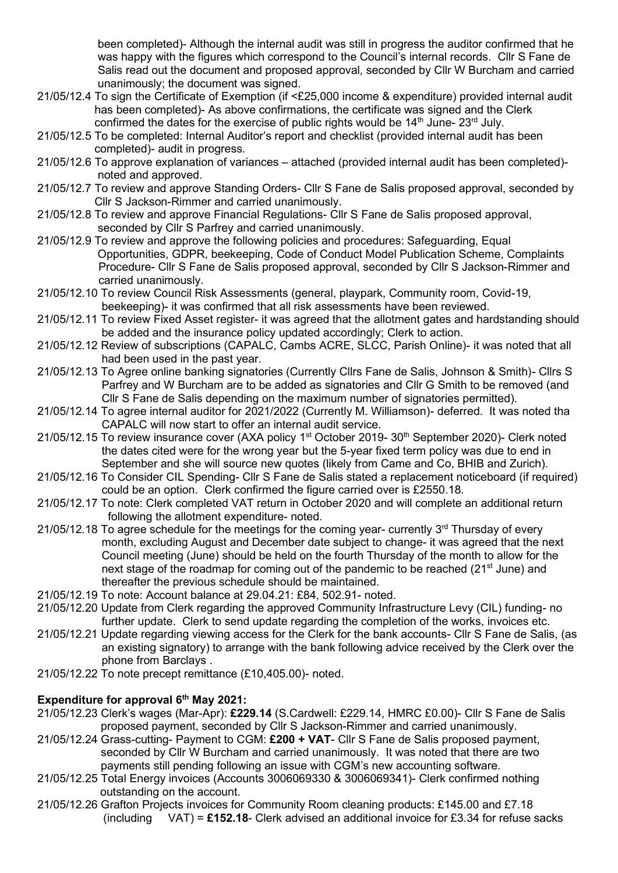been completed)- Although the internal audit was still in progress the auditor confirmed that he was happy with the figures which correspond to the Council's internal records. Cllr S Fane de Salis read out the document and proposed approval, seconded by Cllr W Burcham and carried unanimously; the document was signed.

- 21/05/12.4 To sign the Certificate of Exemption (if <£25,000 income & expenditure) provided internal audit has been completed)- As above confirmations, the certificate was signed and the Clerk confirmed the dates for the exercise of public rights would be  $14<sup>th</sup>$  June-  $23<sup>rd</sup>$  July.
- 21/05/12.5 To be completed: Internal Auditor's report and checklist (provided internal audit has been completed)- audit in progress.
- 21/05/12.6 To approve explanation of variances attached (provided internal audit has been completed) noted and approved.
- 21/05/12.7 To review and approve Standing Orders- Cllr S Fane de Salis proposed approval, seconded by Cllr S Jackson-Rimmer and carried unanimously.
- 21/05/12.8 To review and approve Financial Regulations- Cllr S Fane de Salis proposed approval, seconded by Cllr S Parfrey and carried unanimously.
- 21/05/12.9 To review and approve the following policies and procedures: Safeguarding, Equal Opportunities, GDPR, beekeeping, Code of Conduct Model Publication Scheme, Complaints Procedure- Cllr S Fane de Salis proposed approval, seconded by Cllr S Jackson-Rimmer and carried unanimously.
- 21/05/12.10 To review Council Risk Assessments (general, playpark, Community room, Covid-19, beekeeping)- it was confirmed that all risk assessments have been reviewed.
- 21/05/12.11 To review Fixed Asset register- it was agreed that the allotment gates and hardstanding should be added and the insurance policy updated accordingly; Clerk to action.
- 21/05/12.12 Review of subscriptions (CAPALC, Cambs ACRE, SLCC, Parish Online)- it was noted that all had been used in the past year.
- 21/05/12.13 To Agree online banking signatories (Currently Cllrs Fane de Salis, Johnson & Smith)- Cllrs S Parfrey and W Burcham are to be added as signatories and Cllr G Smith to be removed (and Cllr S Fane de Salis depending on the maximum number of signatories permitted).
- 21/05/12.14 To agree internal auditor for 2021/2022 (Currently M. Williamson)- deferred. It was noted tha CAPALC will now start to offer an internal audit service.
- 21/05/12.15 To review insurance cover (AXA policy 1<sup>st</sup> October 2019- 30<sup>th</sup> September 2020)- Clerk noted the dates cited were for the wrong year but the 5-year fixed term policy was due to end in September and she will source new quotes (likely from Came and Co, BHIB and Zurich).
- 21/05/12.16 To Consider CIL Spending- Cllr S Fane de Salis stated a replacement noticeboard (if required) could be an option. Clerk confirmed the figure carried over is £2550.18.
- 21/05/12.17 To note: Clerk completed VAT return in October 2020 and will complete an additional return following the allotment expenditure- noted.
- $21/05/12.18$  To agree schedule for the meetings for the coming year- currently  $3<sup>rd</sup>$  Thursday of every month, excluding August and December date subject to change- it was agreed that the next Council meeting (June) should be held on the fourth Thursday of the month to allow for the next stage of the roadmap for coming out of the pandemic to be reached (21<sup>st</sup> June) and thereafter the previous schedule should be maintained.
- 21/05/12.19 To note: Account balance at 29.04.21: £84, 502.91- noted.
- 21/05/12.20 Update from Clerk regarding the approved Community Infrastructure Levy (CIL) funding- no further update. Clerk to send update regarding the completion of the works, invoices etc.
- 21/05/12.21 Update regarding viewing access for the Clerk for the bank accounts- Cllr S Fane de Salis, (as an existing signatory) to arrange with the bank following advice received by the Clerk over the phone from Barclays .
- 21/05/12.22 To note precept remittance (£10,405.00)- noted.

# **Expenditure for approval 6th May 2021:**

- 21/05/12.23 Clerk's wages (Mar-Apr): **£229.14** (S.Cardwell: £229.14, HMRC £0.00)- Cllr S Fane de Salis proposed payment, seconded by Cllr S Jackson-Rimmer and carried unanimously.
- 21/05/12.24 Grass-cutting- Payment to CGM: **£200 + VAT** Cllr S Fane de Salis proposed payment, seconded by Cllr W Burcham and carried unanimously. It was noted that there are two payments still pending following an issue with CGM's new accounting software.
- 21/05/12.25 Total Energy invoices (Accounts 3006069330 & 3006069341)- Clerk confirmed nothing outstanding on the account.
- 21/05/12.26 Grafton Projects invoices for Community Room cleaning products: £145.00 and £7.18 (including VAT) = **£152.18**- Clerk advised an additional invoice for £3.34 for refuse sacks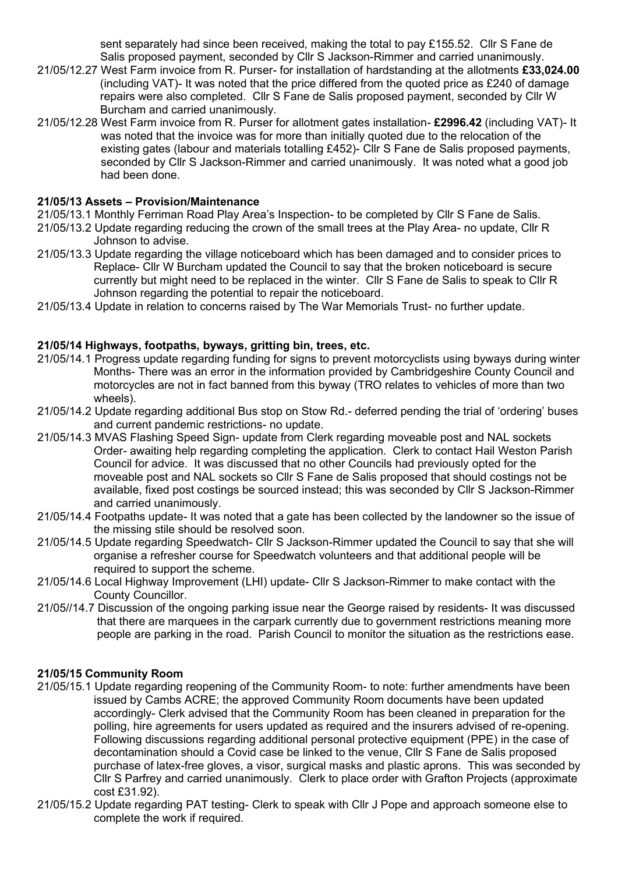sent separately had since been received, making the total to pay £155.52. Cllr S Fane de Salis proposed payment, seconded by Cllr S Jackson-Rimmer and carried unanimously.

- 21/05/12.27 West Farm invoice from R. Purser- for installation of hardstanding at the allotments **£33,024.00** (including VAT)- It was noted that the price differed from the quoted price as £240 of damage repairs were also completed. Cllr S Fane de Salis proposed payment, seconded by Cllr W Burcham and carried unanimously.
- 21/05/12.28 West Farm invoice from R. Purser for allotment gates installation- **£2996.42** (including VAT)- It was noted that the invoice was for more than initially quoted due to the relocation of the existing gates (labour and materials totalling £452)- Cllr S Fane de Salis proposed payments, seconded by Cllr S Jackson-Rimmer and carried unanimously. It was noted what a good job had been done.

### **21/05/13 Assets – Provision/Maintenance**

- 21/05/13.1 Monthly Ferriman Road Play Area's Inspection- to be completed by Cllr S Fane de Salis.
- 21/05/13.2 Update regarding reducing the crown of the small trees at the Play Area- no update, Cllr R Johnson to advise.
- 21/05/13.3 Update regarding the village noticeboard which has been damaged and to consider prices to Replace- Cllr W Burcham updated the Council to say that the broken noticeboard is secure currently but might need to be replaced in the winter. Cllr S Fane de Salis to speak to Cllr R Johnson regarding the potential to repair the noticeboard.
- 21/05/13.4 Update in relation to concerns raised by The War Memorials Trust- no further update.

### **21/05/14 Highways, footpaths, byways, gritting bin, trees, etc.**

- 21/05/14.1 Progress update regarding funding for signs to prevent motorcyclists using byways during winter Months- There was an error in the information provided by Cambridgeshire County Council and motorcycles are not in fact banned from this byway (TRO relates to vehicles of more than two wheels).
- 21/05/14.2 Update regarding additional Bus stop on Stow Rd.- deferred pending the trial of 'ordering' buses and current pandemic restrictions- no update.
- 21/05/14.3 MVAS Flashing Speed Sign- update from Clerk regarding moveable post and NAL sockets Order- awaiting help regarding completing the application. Clerk to contact Hail Weston Parish Council for advice. It was discussed that no other Councils had previously opted for the moveable post and NAL sockets so Cllr S Fane de Salis proposed that should costings not be available, fixed post costings be sourced instead; this was seconded by Cllr S Jackson-Rimmer and carried unanimously.
- 21/05/14.4 Footpaths update- It was noted that a gate has been collected by the landowner so the issue of the missing stile should be resolved soon.
- 21/05/14.5 Update regarding Speedwatch- Cllr S Jackson-Rimmer updated the Council to say that she will organise a refresher course for Speedwatch volunteers and that additional people will be required to support the scheme.
- 21/05/14.6 Local Highway Improvement (LHI) update- Cllr S Jackson-Rimmer to make contact with the County Councillor.
- 21/05//14.7 Discussion of the ongoing parking issue near the George raised by residents- It was discussed that there are marquees in the carpark currently due to government restrictions meaning more people are parking in the road. Parish Council to monitor the situation as the restrictions ease.

## **21/05/15 Community Room**

- 21/05/15.1 Update regarding reopening of the Community Room- to note: further amendments have been issued by Cambs ACRE; the approved Community Room documents have been updated accordingly- Clerk advised that the Community Room has been cleaned in preparation for the polling, hire agreements for users updated as required and the insurers advised of re-opening. Following discussions regarding additional personal protective equipment (PPE) in the case of decontamination should a Covid case be linked to the venue, Cllr S Fane de Salis proposed purchase of latex-free gloves, a visor, surgical masks and plastic aprons. This was seconded by Cllr S Parfrey and carried unanimously. Clerk to place order with Grafton Projects (approximate cost £31.92).
- 21/05/15.2 Update regarding PAT testing- Clerk to speak with Cllr J Pope and approach someone else to complete the work if required.